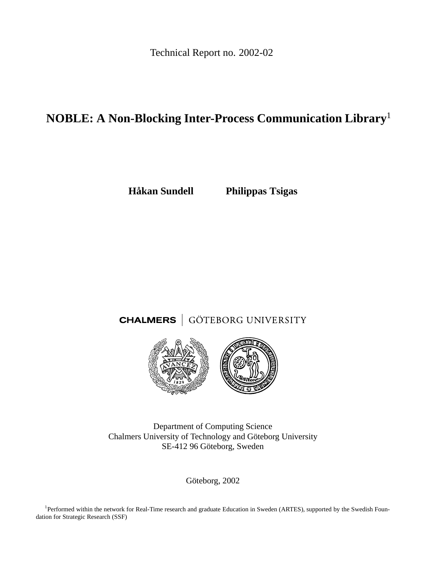Technical Report no. 2002-02

# **NOBLE: A Non-Blocking Inter-Process Communication Library**<sup>1</sup>

**Håkan Sundell Philippas Tsigas**

# **CHALMERS** GÖTEBORG UNIVERSITY



Department of Computing Science Chalmers University of Technology and Göteborg University SE-412 96 Göteborg, Sweden

Göteborg, 2002

<sup>1</sup>Performed within the network for Real-Time research and graduate Education in Sweden (ARTES), supported by the Swedish Foundation for Strategic Research (SSF)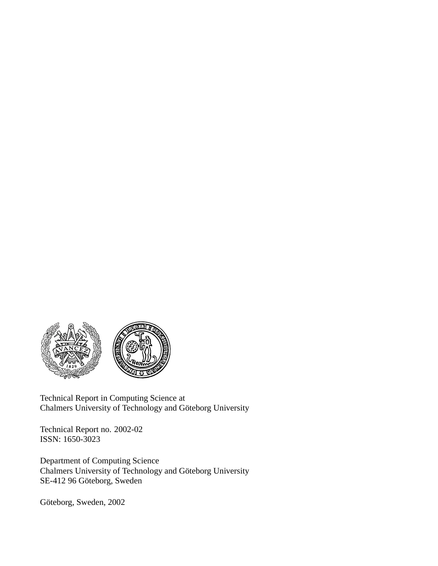

Technical Report in Computing Science at Chalmers University of Technology and Göteborg University

Technical Report no. 2002-02 ISSN: 1650-3023

Department of Computing Science Chalmers University of Technology and Göteborg University SE-412 96 Göteborg, Sweden

Göteborg, Sweden, 2002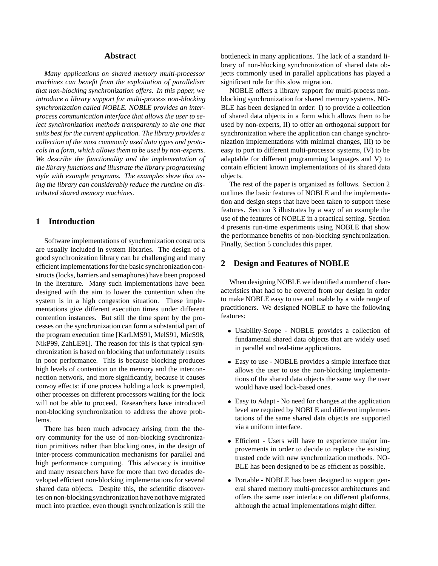# **Abstract**

*Many applications on shared memory multi-processor machines can benefit from the exploitation of parallelism that non-blocking synchronization offers. In this paper, we introduce a library support for multi-process non-blocking synchronization called NOBLE. NOBLE provides an interprocess communication interface that allows the user to select synchronization methods transparently to the one that suits best for the current application. The library provides a collection of the most commonly used data types and protocols in a form, which allows them to be used by non-experts. We describe the functionality and the implementation of the library functions and illustrate the library programming style with example programs. The examples show that using the library can considerably reduce the runtime on distributed shared memory machines.*

# **1 Introduction**

Software implementations of synchronization constructs are usually included in system libraries. The design of a good synchronization library can be challenging and many efficient implementations for the basic synchronization constructs (locks, barriers and semaphores) have been proposed in the literature. Many such implementations have been designed with the aim to lower the contention when the system is in a high congestion situation. These implementations give different execution times under different contention instances. But still the time spent by the processes on the synchronization can form a substantial part of the program execution time [KarLMS91, MelS91, MicS98, NikP99, ZahLE91]. The reason for this is that typical synchronization is based on blocking that unfortunately results in poor performance. This is because blocking produces high levels of contention on the memory and the interconnection network, and more significantly, because it causes convoy effects: if one process holding a lock is preempted, other processes on different processors waiting for the lock will not be able to proceed. Researchers have introduced non-blocking synchronization to address the above problems.

There has been much advocacy arising from the theory community for the use of non-blocking synchronization primitives rather than blocking ones, in the design of inter-process communication mechanisms for parallel and high performance computing. This advocacy is intuitive and many researchers have for more than two decades developed efficient non-blocking implementations for several shared data objects. Despite this, the scientific discoveries on non-blocking synchronization have not have migrated much into practice, even though synchronization is still the

bottleneck in many applications. The lack of a standard library of non-blocking synchronization of shared data objects commonly used in parallel applications has played a significant role for this slow migration.

NOBLE offers a library support for multi-process nonblocking synchronization for shared memory systems. NO-BLE has been designed in order: I) to provide a collection of shared data objects in a form which allows them to be used by non-experts, II) to offer an orthogonal support for synchronization where the application can change synchronization implementations with minimal changes, III) to be easy to port to different multi-processor systems, IV) to be adaptable for different programming languages and V) to contain efficient known implementations of its shared data objects.

The rest of the paper is organized as follows. Section 2 outlines the basic features of NOBLE and the implementation and design steps that have been taken to support these features. Section 3 illustrates by a way of an example the use of the features of NOBLE in a practical setting. Section 4 presents run-time experiments using NOBLE that show the performance benefits of non-blocking synchronization. Finally, Section 5 concludes this paper.

# **2 Design and Features of NOBLE**

When designing NOBLE we identified a number of characteristics that had to be covered from our design in order to make NOBLE easy to use and usable by a wide range of practitioners. We designed NOBLE to have the following features:

- Usability-Scope NOBLE provides a collection of fundamental shared data objects that are widely used in parallel and real-time applications.
- Easy to use NOBLE provides a simple interface that allows the user to use the non-blocking implementations of the shared data objects the same way the user would have used lock-based ones.
- Easy to Adapt No need for changes at the application level are required by NOBLE and different implementations of the same shared data objects are supported via a uniform interface.
- Efficient Users will have to experience major improvements in order to decide to replace the existing trusted code with new synchronization methods. NO-BLE has been designed to be as efficient as possible.
- Portable NOBLE has been designed to support general shared memory multi-processor architectures and offers the same user interface on different platforms, although the actual implementations might differ.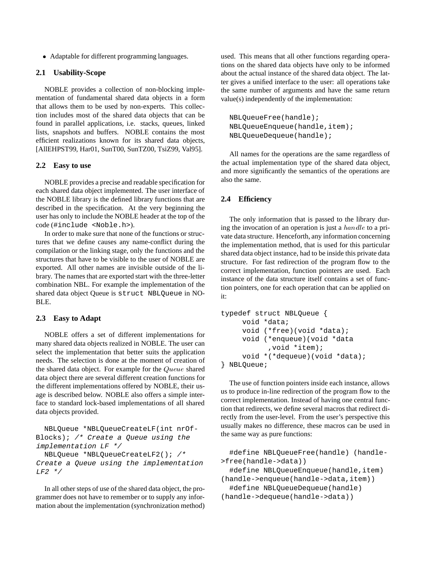Adaptable for different programming languages.

#### **2.1 Usability-Scope**

NOBLE provides a collection of non-blocking implementation of fundamental shared data objects in a form that allows them to be used by non-experts. This collection includes most of the shared data objects that can be found in parallel applications, i.e. stacks, queues, linked lists, snapshots and buffers. NOBLE contains the most efficient realizations known for its shared data objects, [AllEHPST99, Har01, SunT00, SunTZ00, TsiZ99, Val95].

#### **2.2 Easy to use**

NOBLE provides a precise and readable specification for each shared data object implemented. The user interface of the NOBLE library is the defined library functions that are described in the specification. At the very beginning the user has only to include the NOBLE header at the top of the code (#include <Noble.h>).

In order to make sure that none of the functions or structures that we define causes any name-conflict during the compilation or the linking stage, only the functions and the structures that have to be visible to the user of NOBLE are exported. All other names are invisible outside of the library. The names that are exported start with the three-letter combination NBL. For example the implementation of the shared data object Queue is struct NBLQueue in NO-BLE.

# **2.3 Easy to Adapt**

NOBLE offers a set of different implementations for many shared data objects realized in NOBLE. The user can select the implementation that better suits the application needs. The selection is done at the moment of creation of the shared data object. For example for the Queue shared data object there are several different creation functions for the different implementations offered by NOBLE, their usage is described below. NOBLE also offers a simple interface to standard lock-based implementations of all shared data objects provided.

NBLQueue \*NBLQueueCreateLF(int nrOf-Blocks); /\* Create <sup>a</sup> Queue using the implementation LF \*/ NBLQueue \*NBLQueueCreateLF2(); /\* Create <sup>a</sup> Queue using the implementation  $LF2$  \*/

In all other steps of use of the shared data object, the programmer does not have to remember or to supply any information about the implementation (synchronization method) used. This means that all other functions regarding operations on the shared data objects have only to be informed about the actual instance of the shared data object. The latter gives a unified interface to the user: all operations take the same number of arguments and have the same return value(s) independently of the implementation:

```
NBLQueueFree(handle);
NBLQueueEnqueue(handle,item);
NBLQueueDequeue(handle);
```
All names for the operations are the same regardless of the actual implementation type of the shared data object, and more significantly the semantics of the operations are also the same.

#### **2.4 Efficiency**

The only information that is passed to the library during the invocation of an operation is just a  $handle$  to a private data structure. Henceforth, any information concerning the implementation method, that is used for this particular shared data object instance, had to be inside this private data structure. For fast redirection of the program flow to the correct implementation, function pointers are used. Each instance of the data structure itself contains a set of function pointers, one for each operation that can be applied on it:

```
typedef struct NBLQueue {
     void *data;
     void (*free)(void *data);
     void (*enqueue)(void *data
           ,void *item);
     void *(*dequeue)(void *data);
} NBLQueue;
```
The use of function pointers inside each instance, allows us to produce in-line redirection of the program flow to the correct implementation. Instead of having one central function that redirects, we define several macros that redirect directly from the user-level. From the user's perspective this usually makes no difference, these macros can be used in the same way as pure functions:

```
#define NBLQueueFree(handle) (handle-
>free(handle->data))
  #define NBLQueueEnqueue(handle,item)
(handle->enqueue(handle->data,item))
  #define NBLQueueDequeue(handle)
(handle->dequeue(handle->data))
```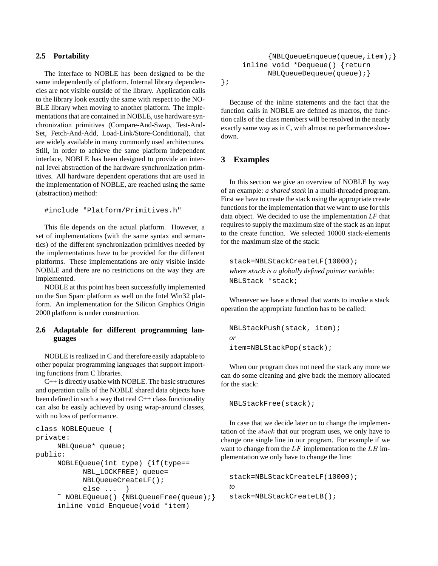#### **2.5 Portability**

The interface to NOBLE has been designed to be the same independently of platform. Internal library dependencies are not visible outside of the library. Application calls to the library look exactly the same with respect to the NO-BLE library when moving to another platform. The implementations that are contained in NOBLE, use hardware synchronization primitives (Compare-And-Swap, Test-And-Set, Fetch-And-Add, Load-Link/Store-Conditional), that are widely available in many commonly used architectures. Still, in order to achieve the same platform independent interface, NOBLE has been designed to provide an internal level abstraction of the hardware synchronization primitives. All hardware dependent operations that are used in the implementation of NOBLE, are reached using the same (abstraction) method:

```
#include "Platform/Primitives.h"
```
This file depends on the actual platform. However, a set of implementations (with the same syntax and semantics) of the different synchronization primitives needed by the implementations have to be provided for the different platforms. These implementations are only visible inside NOBLE and there are no restrictions on the way they are implemented.

NOBLE at this point has been successfully implemented on the Sun Sparc platform as well on the Intel Win32 platform. An implementation for the Silicon Graphics Origin 2000 platform is under construction.

# **2.6 Adaptable for different programming languages**

NOBLE is realized in C and therefore easily adaptable to other popular programming languages that support importing functions from C libraries.

C++ is directly usable with NOBLE. The basic structures and operation calls of the NOBLE shared data objects have been defined in such a way that real  $C++$  class functionality can also be easily achieved by using wrap-around classes, with no loss of performance.

```
class NOBLEQueue {
private:
     NBLQueue* queue;
public:
     NOBLEQueue(int type) {if(type==
           NBL_LOCKFREE) queue=
           NBLQueueCreateLF();
           else ... }
     ˜ NOBLEQueue() {NBLQueueFree(queue);}
     inline void Enqueue(void *item)
```
{NBLQueueEnqueue(queue,item);} inline void \*Dequeue() {return NBLQueueDequeue(queue);} };

Because of the inline statements and the fact that the function calls in NOBLE are defined as macros, the function calls of the class members will be resolved in the nearly exactly same way as in C, with almost no performance slowdown.

# **3 Examples**

In this section we give an overview of NOBLE by way of an example: *a shared stack* in a multi-threaded program. First we have to create the stack using the appropriate create functions for the implementation that we want to use for this data object. We decided to use the implementation *LF* that requires to supply the maximum size of the stack as an input to the create function. We selected 10000 stack-elements for the maximum size of the stack:

stack=NBLStackCreateLF(10000); *where* stack *is a globally defined pointer variable:* NBLStack \*stack;

Whenever we have a thread that wants to invoke a stack operation the appropriate function has to be called:

```
NBLStackPush(stack, item);
or
item=NBLStackPop(stack);
```
When our program does not need the stack any more we can do some cleaning and give back the memory allocated for the stack:

```
NBLStackFree(stack);
```
In case that we decide later on to change the implementation of the stack that our program uses, we only have to change one single line in our program. For example if we want to change from the  $LF$  implementation to the  $LB$  implementation we only have to change the line:

```
stack=NBLStackCreateLF(10000);
to
stack=NBLStackCreateLB();
```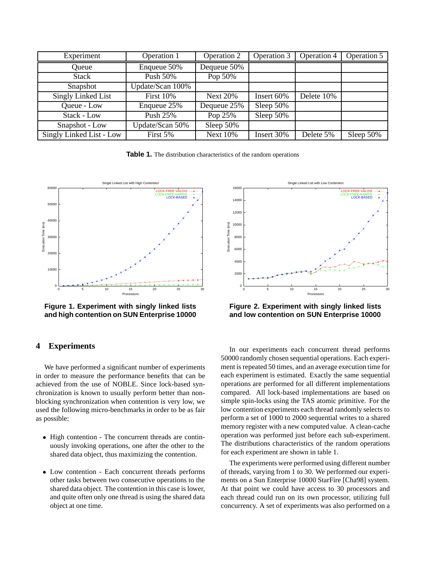| Experiment               | <b>Operation 1</b> | Operation 2     | Operation 3 | Operation 4 | Operation 5  |
|--------------------------|--------------------|-----------------|-------------|-------------|--------------|
| Oueue                    | Enqueue 50%        | Dequeue 50%     |             |             |              |
| <b>Stack</b>             | Push 50%           | Pop 50%         |             |             |              |
| Snapshot                 | Update/Scan 100%   |                 |             |             |              |
| Singly Linked List       | <b>First 10%</b>   | <b>Next 20%</b> | Insert 60%  | Delete 10%  |              |
| Queue - Low              | Enqueue 25%        | Dequeue 25%     | Sleep 50%   |             |              |
| Stack - Low              | Push 25%           | Pop 25%         | Sleep 50%   |             |              |
| Snapshot - Low           | Update/Scan 50%    | Sleep 50%       |             |             |              |
| Singly Linked List - Low | First 5%           | <b>Next 10%</b> | Insert 30%  | Delete 5%   | Sleep $50\%$ |

**Table 1.** The distribution characteristics of the random operations



**Figure 1. Experiment with singly linked lists and high contention on SUN Enterprise 10000**

# **4 Experiments**

We have performed a significant number of experiments in order to measure the performance benefits that can be achieved from the use of NOBLE. Since lock-based synchronization is known to usually perform better than nonblocking synchronization when contention is very low, we used the following micro-benchmarks in order to be as fair as possible:

- High contention The concurrent threads are continuously invoking operations, one after the other to the shared data object, thus maximizing the contention.
- Low contention Each concurrent threads performs other tasks between two consecutive operations to the shared data object. The contention in this case is lower, and quite often only one thread is using the shared data object at one time.



**Figure 2. Experiment with singly linked lists and low contention on SUN Enterprise 10000**

In our experiments each concurrent thread performs 50000 randomly chosen sequential operations. Each experiment is repeated 50 times, and an average execution time for each experiment is estimated. Exactly the same sequential operations are performed for all different implementations compared. All lock-based implementations are based on simple spin-locks using the TAS atomic primitive. For the low contention experiments each thread randomly selects to perform a set of 1000 to 2000 sequential writes to a shared memory register with a new computed value. A clean-cache operation was performed just before each sub-experiment. The distributions characteristics of the random operations for each experiment are shown in table 1.

The experiments were performed using different number of threads, varying from 1 to 30. We performed our experiments on a Sun Enterprise 10000 StarFire [Cha98] system. At that point we could have access to 30 processors and each thread could run on its own processor, utilizing full concurrency. A set of experiments was also performed on a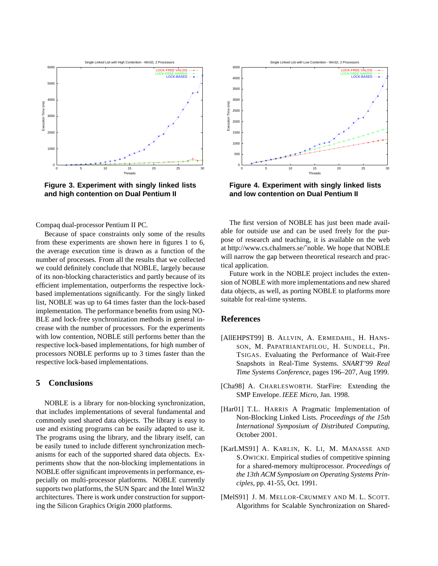

**Figure 3. Experiment with singly linked lists and high contention on Dual Pentium II**

Compaq dual-processor Pentium II PC.

Because of space constraints only some of the results from these experiments are shown here in figures 1 to 6, the average execution time is drawn as a function of the number of processes. From all the results that we collected we could definitely conclude that NOBLE, largely because of its non-blocking characteristics and partly because of its efficient implementation, outperforms the respective lockbased implementations significantly. For the singly linked list, NOBLE was up to 64 times faster than the lock-based implementation. The performance benefits from using NO-BLE and lock-free synchronization methods in general increase with the number of processors. For the experiments with low contention, NOBLE still performs better than the respective lock-based implementations, for high number of processors NOBLE performs up to 3 times faster than the respective lock-based implementations.

# **5 Conclusions**

NOBLE is a library for non-blocking synchronization, that includes implementations of several fundamental and commonly used shared data objects. The library is easy to use and existing programs can be easily adapted to use it. The programs using the library, and the library itself, can be easily tuned to include different synchronization mechanisms for each of the supported shared data objects. Experiments show that the non-blocking implementations in NOBLE offer significant improvements in performance, especially on multi-processor platforms. NOBLE currently supports two platforms, the SUN Sparc and the Intel Win32 architectures. There is work under construction for supporting the Silicon Graphics Origin 2000 platforms.



**Figure 4. Experiment with singly linked lists and low contention on Dual Pentium II**

The first version of NOBLE has just been made available for outside use and can be used freely for the purpose of research and teaching, it is available on the web at http://www.cs.chalmers.se/˜noble. We hope that NOBLE will narrow the gap between theoretical research and practical application.

Future work in the NOBLE project includes the extension of NOBLE with more implementations and new shared data objects, as well, as porting NOBLE to platforms more suitable for real-time systems.

# **References**

- [AllEHPST99] B. ALLVIN, A. ERMEDAHL, H. HANS-SON, M. PAPATRIANTAFILOU, H. SUNDELL, PH. TSIGAS. Evaluating the Performance of Wait-Free Snapshots in Real-Time Systems. *SNART'99 Real Time Systems Conference*, pages 196–207, Aug 1999.
- [Cha98] A. CHARLESWORTH. StarFire: Extending the SMP Envelope. *IEEE Micro*, Jan. 1998.
- [Har01] T.L. HARRIS A Pragmatic Implementation of Non-Blocking Linked Lists. *Proceedings of the 15th International Symposium of Distributed Computing,* October 2001.
- [KarLMS91] A. KARLIN, K. LI, M. MANASSE AND S.OWICKI. Empirical studies of competitive spinning for a shared-memory multiprocessor. *Proceedings of the 13th ACM Symposium on Operating Systems Principles*, pp. 41-55, Oct. 1991.
- [MelS91] J. M. MELLOR-CRUMMEY AND M. L. SCOTT. Algorithms for Scalable Synchronization on Shared-